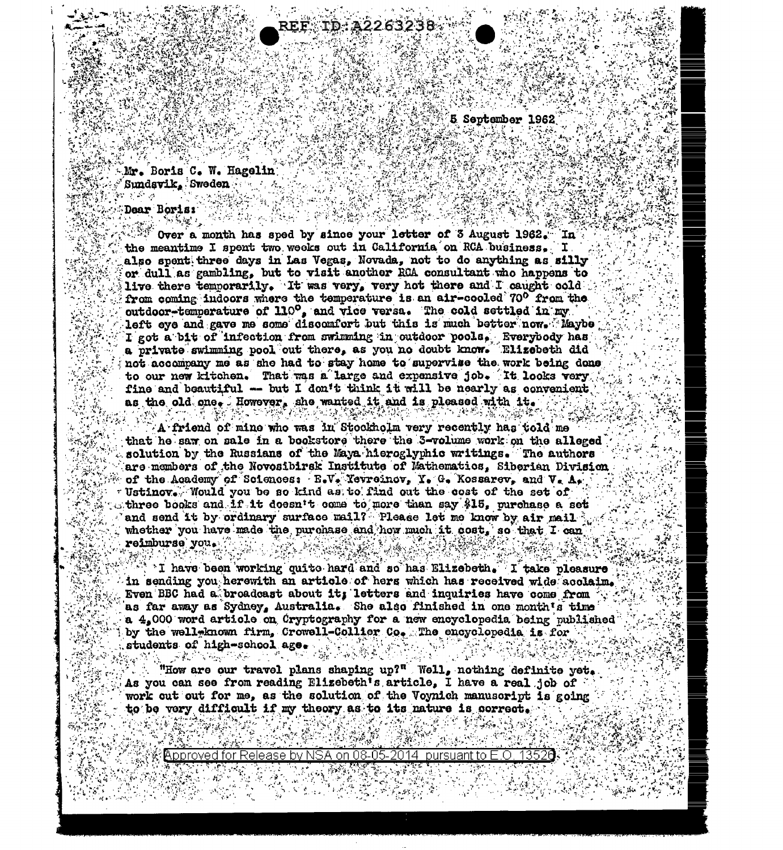**5 September 1962** 

Mr. Boris C. W. Hagelin Sundavik, Sweden وراجي والم

 $\Delta$  . We see that

Dear Boris:

Over a month has sped by since your letter of 3 August 1962. In the meantime I spent two weeks out in California on RCA business. I also spent three days in Las Vegas. Novada, not to do anything as silly or dull as gambling, but to visit another RCA consultant who happens to live there temporarily. It was very, very hot there and I caught cold. from coming indoors where the temperature is an air-cooled 70° from the outdoor-temperature of 110°, and vice versa. The cold settled in my left eye and gave me some discomfort but this is much better now. Maybe I got a bit of infection from swimming in outdoor pools, Everybody has a private swimming pool out there, as you no doubt know. Elizebeth did not accompany me as she had to stay home to supervise the work being done to our new kitchen. That was a large and expensive job. It looks very fine and beautiful -- but I don't think it will be nearly as convenient as the old one. However, she wanted it and is pleased with it. 长语 審 擦 非常 *我们可能* 

TD:A2263238.

A friend of mine who was in Stockholm very recently has told me that he saw on sale in a bookstore there the 3-volume work on the alleged solution by the Russians of the Maya hieroglyphic writings. The authors are members of the Novosibirsk Institute of Mathematics. Siberian Division of the Academy of Sciences: E.V. Yevreinov, Y. G. Kossarev, and V. A. Ustinov. Would you be so kind as to find out the cost of the set of three books and if it doesn't come to more than say \$15, purchase a set and send it by ordinary surface mail? Please let me know by air mail  $\hat{\cdot}$ whether you have made the purchase and how much it cost, so that I can reimburse you.

I have been working quite hard and so has Elizebeth. I take pleasure in sending you herewith an article of hers which has received wide acolaim. Even BBC had a broadcast about it, letters and inquiries have come from as far away as Sydney, Australia. She also finished in one month's time a 4,000 word article on Cryptography for a new encyclopedia being published by the well-known firm, Crowell-Collier Co. The encyclopedia is for students of high-school age.

"How are our travel plans shaping up?" Well, nothing definite yet. As you can see from reading Elizebeth's article. I have a real job of  $\le$ work out out for me, as the solution of the Voynich manuscript is going to be very difficult if my theory as to its nature is correct.

Approved for Release by NSA on 08-05-2014 pursuant to E.O